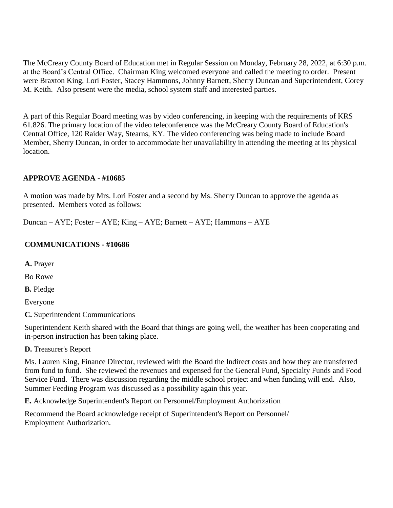The McCreary County Board of Education met in Regular Session on Monday, February 28, 2022, at 6:30 p.m. at the Board's Central Office. Chairman King welcomed everyone and called the meeting to order. Present were Braxton King, Lori Foster, Stacey Hammons, Johnny Barnett, Sherry Duncan and Superintendent, Corey M. Keith. Also present were the media, school system staff and interested parties.

A part of this Regular Board meeting was by video conferencing, in keeping with the requirements of KRS 61.826. The primary location of the video teleconference was the McCreary County Board of Education's Central Office, 120 Raider Way, Stearns, KY. The video conferencing was being made to include Board Member, Sherry Duncan, in order to accommodate her unavailability in attending the meeting at its physical location.

#### **APPROVE AGENDA - #10685**

A motion was made by Mrs. Lori Foster and a second by Ms. Sherry Duncan to approve the agenda as presented. Members voted as follows:

Duncan – AYE; Foster – AYE; King – AYE; Barnett – AYE; Hammons – AYE

#### **COMMUNICATIONS - #10686**

**A.** Prayer

Bo Rowe

**B.** Pledge

Everyone

**C.** Superintendent Communications

Superintendent Keith shared with the Board that things are going well, the weather has been cooperating and in-person instruction has been taking place.

**D.** Treasurer's Report

Ms. Lauren King, Finance Director, reviewed with the Board the Indirect costs and how they are transferred from fund to fund. She reviewed the revenues and expensed for the General Fund, Specialty Funds and Food Service Fund. There was discussion regarding the middle school project and when funding will end. Also, Summer Feeding Program was discussed as a possibility again this year.

**E.** Acknowledge Superintendent's Report on Personnel/Employment Authorization

Recommend the Board acknowledge receipt of Superintendent's Report on Personnel/ Employment Authorization.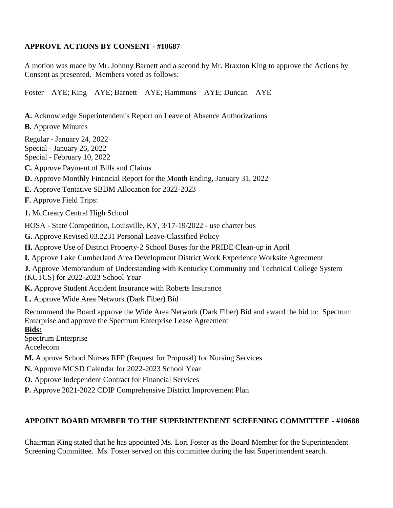### **APPROVE ACTIONS BY CONSENT - #10687**

A motion was made by Mr. Johnny Barnett and a second by Mr. Braxton King to approve the Actions by Consent as presented. Members voted as follows:

Foster – AYE; King – AYE; Barnett – AYE; Hammons – AYE; Duncan – AYE

- **A.** Acknowledge Superintendent's Report on Leave of Absence Authorizations
- **B.** Approve Minutes

Regular - January 24, 2022

Special - January 26, 2022

Special - February 10, 2022

**C.** Approve Payment of Bills and Claims

- **D.** Approve Monthly Financial Report for the Month Ending, January 31, 2022
- **E.** Approve Tentative SBDM Allocation for 2022-2023

**F.** Approve Field Trips:

**1.** McCreary Central High School

HOSA - State Competition, Louisville, KY, 3/17-19/2022 - use charter bus

**G.** Approve Revised 03.2231 Personal Leave-Classified Policy

**H.** Approve Use of District Property-2 School Buses for the PRIDE Clean-up in April

**I.** Approve Lake Cumberland Area Development District Work Experience Worksite Agreement

**J.** Approve Memorandum of Understanding with Kentucky Community and Technical College System (KCTCS) for 2022-2023 School Year

**K.** Approve Student Accident Insurance with Roberts Insurance

**L.** Approve Wide Area Network (Dark Fiber) Bid

Recommend the Board approve the Wide Area Network (Dark Fiber) Bid and award the bid to: Spectrum Enterprise and approve the Spectrum Enterprise Lease Agreement

## **Bids:**

Spectrum Enterprise

Accelecom

**M.** Approve School Nurses RFP (Request for Proposal) for Nursing Services

**N.** Approve MCSD Calendar for 2022-2023 School Year

**O.** Approve Independent Contract for Financial Services

**P.** Approve 2021-2022 CDIP Comprehensive District Improvement Plan

# **APPOINT BOARD MEMBER TO THE SUPERINTENDENT SCREENING COMMITTEE - #10688**

Chairman King stated that he has appointed Ms. Lori Foster as the Board Member for the Superintendent Screening Committee. Ms. Foster served on this committee during the last Superintendent search.